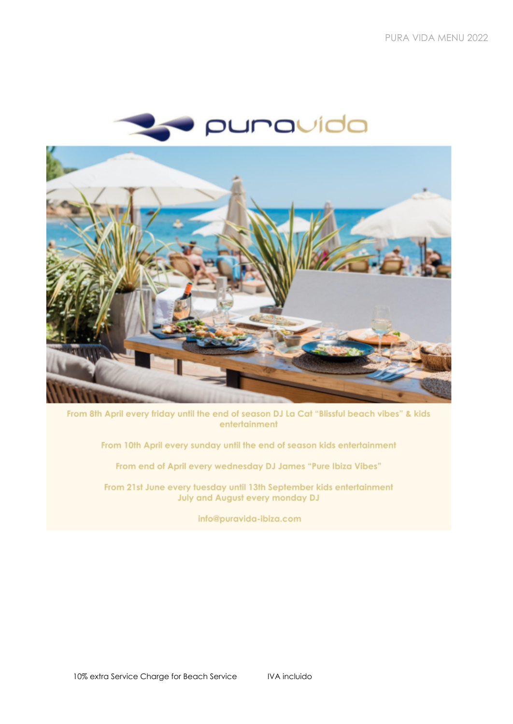

From 8th April every friday until the end of season DJ La Cat "Blissful beach vibes" & kids entertainment

From 10th April every sunday until the end of season kids entertainment

From end of April every wednesday DJ James "Pure Ibiza Vibes"

From 21st June every tuesday until 13th September kids entertainment **July and August every monday DJ** 

info@puravida-ibiza.com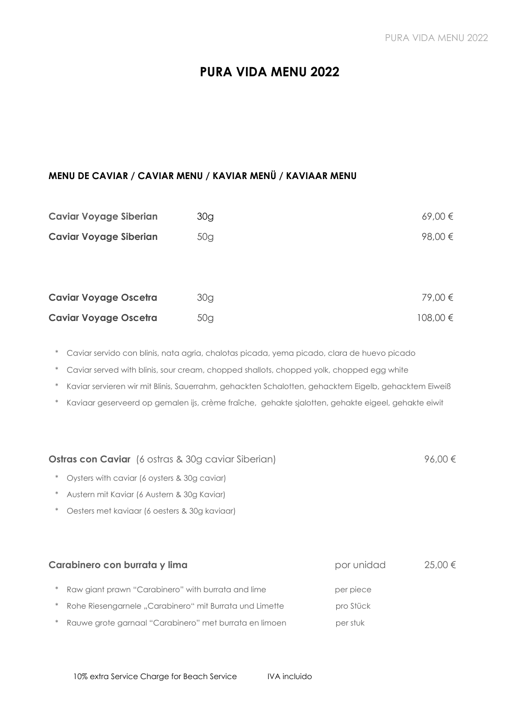## **PURA VIDA MENU 2022**

#### **MENU DE CAVIAR / CAVIAR MENU / KAVIAR MENÜ / KAVIAAR MENU**

| <b>Caviar Voyage Siberian</b> | 30g | 69,00 €      |
|-------------------------------|-----|--------------|
| <b>Caviar Voyage Siberian</b> | 50g | 98,00 €      |
|                               |     |              |
|                               |     |              |
| <b>Caviar Voyage Oscetra</b>  | 30g | 79,00 €      |
| <b>Caviar Voyage Oscetra</b>  | 50g | $108,00 \in$ |

\* Caviar servido con blinis, nata agria, chalotas picada, yema picado, clara de huevo picado

\* Caviar served with blinis, sour cream, chopped shallots, chopped yolk, chopped egg white

\* Kaviar servieren wir mit Blinis, Sauerrahm, gehackten Schalotten, gehacktem Eigelb, gehacktem Eiweiß

\* Kaviaar geserveerd op gemalen ijs, crème fraîche, gehakte sjalotten, gehakte eigeel, gehakte eiwit

**Ostras con Caviar** (6 ostras & 30g caviar Siberian) 96,00 €

| $\ast$ | Raw giant prawn "Carabinero" with burrata and lime | per piece  |             |
|--------|----------------------------------------------------|------------|-------------|
|        | Carabinero con burrata y lima                      | por unidad | $25.00 \in$ |
|        |                                                    |            |             |
| $\ast$ | Oesters met kaviaar (6 oesters & 30g kaviaar)      |            |             |
| $\ast$ | Austern mit Kaviar (6 Austern & 30g Kaviar)        |            |             |
| $\ast$ | Oysters with caviar (6 oysters & 30g caviar)       |            |             |

\* Rohe Riesengarnele "Carabinero" mit Burrata und Limette pro Stück

\* Rauwe grote garnaal "Carabinero" met burrata en limoen per stuk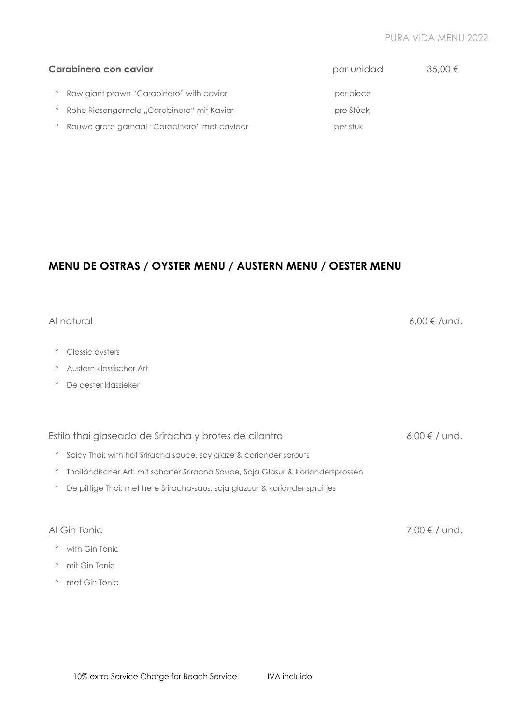#### PURA VIDA MENU 2022

|        | Carabinero con caviar                        | por unidad | $35,00 \in$ |
|--------|----------------------------------------------|------------|-------------|
|        | Raw giant prawn "Carabinero" with caviar     | per piece  |             |
|        | Rohe Riesengarnele "Carabinero" mit Kaviar   | pro Stück  |             |
| $\ast$ | Rauwe grote garnaal "Carabinero" met caviaar | per stuk   |             |

## **MENU DE OSTRAS / OYSTER MENU / AUSTERN MENU / OESTER MENU**

#### Al natural  $6.00 \le$ /und.

\* Classic oysters

- \* Austern klassischer Art
- \* De oester klassieker

Estilo thai glaseado de Sriracha y brotes de cilantro  $6.00 \le f$  und.

- \* Spicy Thai: with hot Sriracha sauce, soy glaze & coriander sprouts
- \* Thailändischer Art: mit scharfer Sriracha Sauce, Soja Glasur & Koriandersprossen
- \* De pittige Thai: met hete Sriracha-saus, soja glazuur & koriander spruitjes

- \* with Gin Tonic
- \* mit Gin Tonic
- \* met Gin Tonic

Al Gin Tonic  $7,00 \notin /$  und.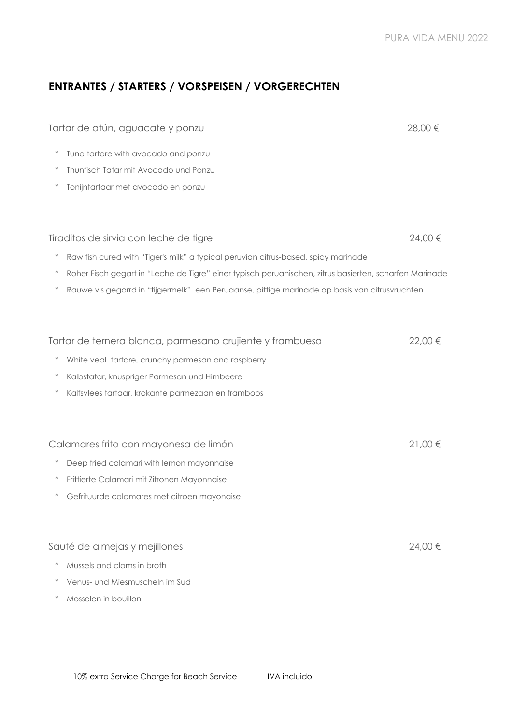## **ENTRANTES / STARTERS / VORSPEISEN / VORGERECHTEN**

| Tartar de atún, aguacate y ponzu                                                                                 | 28,00 € |
|------------------------------------------------------------------------------------------------------------------|---------|
| Tuna tartare with avocado and ponzu<br>$\ast$                                                                    |         |
| Thunfisch Tatar mit Avocado und Ponzu<br>$\ast$                                                                  |         |
| Tonijntartaar met avocado en ponzu                                                                               |         |
|                                                                                                                  |         |
| Tiraditos de sirvia con leche de tigre                                                                           | 24,00 € |
| $\ast$<br>Raw fish cured with "Tiger's milk" a typical peruvian citrus-based, spicy marinade                     |         |
| $\ast$<br>Roher Fisch gegart in "Leche de Tigre" einer typisch peruanischen, zitrus basierten, scharfen Marinade |         |
| $\ast$<br>Rauwe vis gegarrd in "tijgermelk" een Peruaanse, pittige marinade op basis van citrusvruchten          |         |
|                                                                                                                  |         |
| Tartar de ternera blanca, parmesano crujiente y frambuesa                                                        | 22,00 € |
| White veal tartare, crunchy parmesan and raspberry                                                               |         |
| $\ast$<br>Kalbstatar, knuspriger Parmesan und Himbeere                                                           |         |
| Kalfsvlees tartaar, krokante parmezaan en framboos                                                               |         |
|                                                                                                                  |         |
| Calamares frito con mayonesa de limón                                                                            | 21,00 € |
| Deep fried calamari with lemon mayonnaise                                                                        |         |
| Frittierte Calamari mit Zitronen Mayonnaise<br>$\ast$                                                            |         |
| Gefrituurde calamares met citroen mayonaise                                                                      |         |
|                                                                                                                  |         |
| Sauté de almejas y mejillones                                                                                    | 24,00 € |
| Mussels and clams in broth                                                                                       |         |
| Venus- und Miesmuscheln im Sud                                                                                   |         |
| Mosselen in bouillon                                                                                             |         |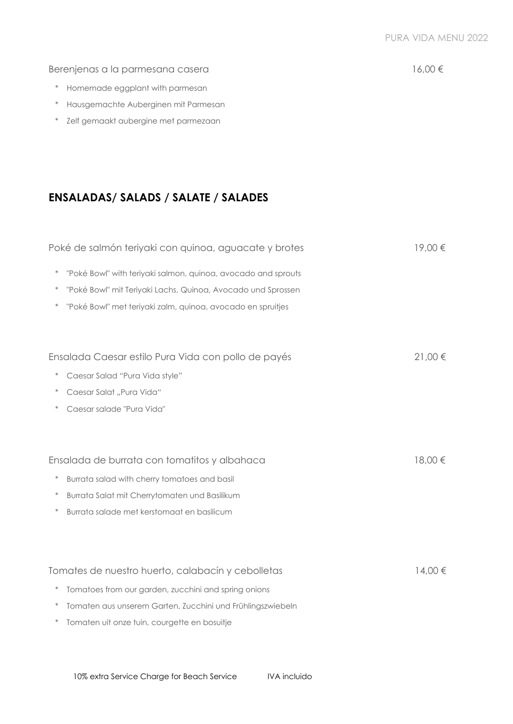### Berenjenas a la parmesana casera 16,00 €

- \* Homemade eggplant with parmesan
- \* Hausgemachte Auberginen mit Parmesan
- \* Zelf gemaakt aubergine met parmezaan

## **ENSALADAS/ SALADS / SALATE / SALADES**

|        | Poké de salmón teriyaki con quinoa, aguacate y brotes         | 19,00 €     |
|--------|---------------------------------------------------------------|-------------|
| $\ast$ | "Poké Bowl" with teriyaki salmon, quinoa, avocado and sprouts |             |
|        | "Poké Bowl" mit Teriyaki Lachs, Quinoa, Avocado und Sprossen  |             |
|        | "Poké Bowl" met teriyaki zalm, quinoa, avocado en spruitjes   |             |
|        |                                                               |             |
|        | Ensalada Caesar estilo Pura Vida con pollo de payés           | $21,00 \in$ |
|        | Caesar Salad "Pura Vida style"                                |             |
|        | Caesar Salat "Pura Vida"                                      |             |
|        | Caesar salade "Pura Vida"                                     |             |
|        |                                                               |             |
|        | Ensalada de burrata con tomatitos y albahaca                  | 18,00€      |
| $\ast$ | Burrata salad with cherry tomatoes and basil                  |             |
| $\ast$ | Burrata Salat mit Cherrytomaten und Basilikum                 |             |
| $\ast$ | Burrata salade met kerstomaat en basilicum                    |             |
|        |                                                               |             |
|        | Tomates de nuestro huerto, calabacín y cebolletas             | 14,00 €     |
| $\ast$ | Tomatoes from our garden, zucchini and spring onions          |             |
| $\ast$ | Tomaten aus unserem Garten, Zucchini und Frühlingszwiebeln    |             |
| $\ast$ | Tomaten uit onze tuin, courgette en bosuitje                  |             |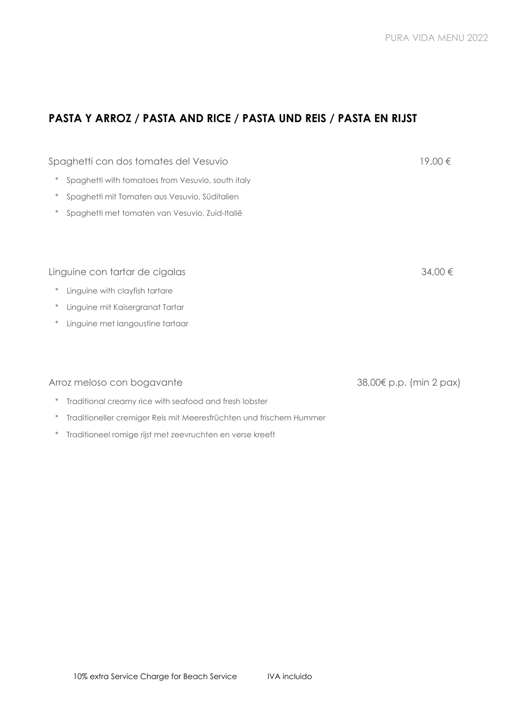## **PASTA Y ARROZ / PASTA AND RICE / PASTA UND REIS / PASTA EN RIJST**

| Spaghetti con dos tomates del Vesuvio                       | 19,00€                  |
|-------------------------------------------------------------|-------------------------|
| $\ast$<br>Spaghetti with tomatoes from Vesuvio, south italy |                         |
| $\ast$<br>Spaghetti mit Tomaten aus Vesuvio, Süditalien     |                         |
| Spaghetti met tomaten van Vesuvio, Zuid-Italië              |                         |
|                                                             |                         |
|                                                             |                         |
| Linguine con tartar de cigalas                              | 34,00 €                 |
| Linguine with clayfish tartare<br>$\ast$                    |                         |
| $\ast$<br>Linguine mit Kaisergranat Tartar                  |                         |
| Linguine met langoustine tartaar<br>$\ast$                  |                         |
|                                                             |                         |
|                                                             |                         |
| Arroz meloso con bogavante                                  | 38,00€ p.p. (min 2 pax) |
| Traditional creamy rice with seafood and fresh lobster      |                         |

- \* Traditioneller cremiger Reis mit Meeresfrüchten und frischem Hummer
- \* Traditioneel romige rijst met zeevruchten en verse kreeft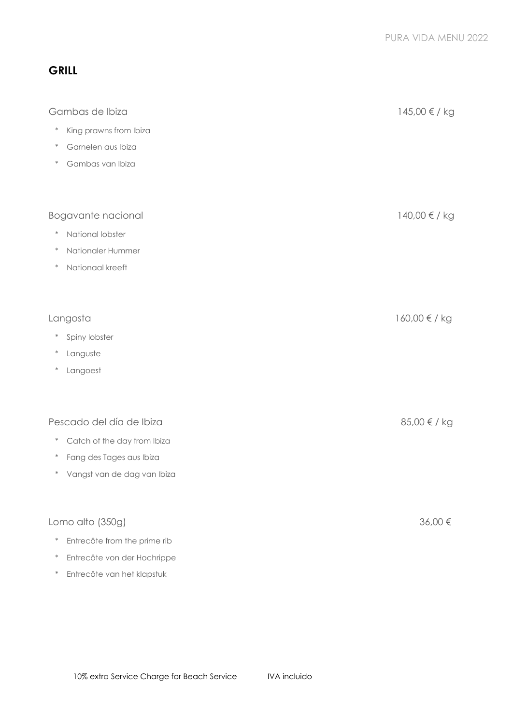## **GRILL**

| Gambas de Ibiza                                                   | 145,00 € / kg |
|-------------------------------------------------------------------|---------------|
| $\ast$<br>King prawns from Ibiza                                  |               |
| Garnelen aus Ibiza<br>$\ast$                                      |               |
| Gambas van Ibiza<br>$\ast$                                        |               |
| Bogavante nacional                                                | 140,00 € / kg |
| National lobster<br>$\ast$                                        |               |
| Nationaler Hummer<br>$\ast$                                       |               |
| Nationaal kreeft<br>$\ast$                                        |               |
| Langosta                                                          | 160,00 € / kg |
| Spiny lobster<br>$\ast$                                           |               |
| Languste<br>$\ast$                                                |               |
| Langoest<br>$\ast$                                                |               |
| Pescado del día de Ibiza                                          | 85,00 € / kg  |
| $\ast$                                                            |               |
| Catch of the day from Ibiza<br>Fang des Tages aus Ibiza<br>$\ast$ |               |
| Vangst van de dag van Ibiza<br>$\ast$                             |               |
| Lomo alto (350g)                                                  | 36,00€        |
| $\ast$<br>Entrecôte from the prime rib                            |               |
| Entrecôte von der Hochrippe<br>$\ast$                             |               |

\* Entrecôte van het klapstuk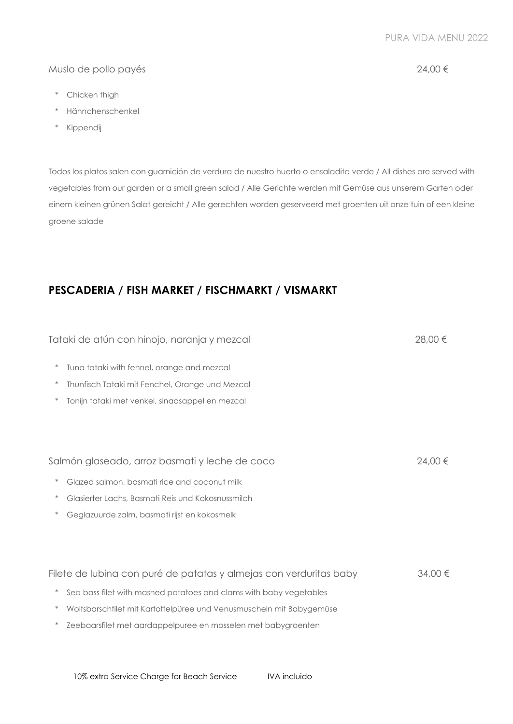10% extra Service Charge for Beach Service IVA incluido

- \* Chicken thigh
- \* Hähnchenschenkel
- \* Kippendij

Todos los platos salen con guarnición de verdura de nuestro huerto o ensaladita verde / All dishes are served with vegetables from our garden or a small green salad / Alle Gerichte werden mit Gemüse aus unserem Garten oder einem kleinen grünen Salat gereicht / Alle gerechten worden geserveerd met groenten uit onze tuin of een kleine groene salade

## **PESCADERIA / FISH MARKET / FISCHMARKT / VISMARKT**

|                  | Tataki de atún con hinojo, naranja y mezcal                                                        | $28.00 \in$ |
|------------------|----------------------------------------------------------------------------------------------------|-------------|
| $\ast$<br>$\ast$ | Tuna tataki with fennel, orange and mezcal                                                         |             |
|                  | Thunfisch Tataki mit Fenchel, Orange und Mezcal<br>Tonijn tataki met venkel, sinaasappel en mezcal |             |
|                  |                                                                                                    |             |
|                  |                                                                                                    |             |
|                  | Salmón glaseado, arroz basmati y leche de coco                                                     | 24.00 €     |
| $\ast$           | Glazed salmon, basmati rice and coconut milk                                                       |             |
|                  | Glasierter Lachs, Basmati Reis und Kokosnussmilch                                                  |             |
|                  | Geglazuurde zalm, basmati rijst en kokosmelk                                                       |             |
|                  |                                                                                                    |             |
|                  |                                                                                                    |             |
|                  | Filete de lubina con puré de patatas y almejas con verduritas baby                                 | $34.00 \in$ |
| $\ast$           | Sea bass filet with mashed potatoes and clams with baby vegetables                                 |             |
| $\ast$           | Wolfsbarschfilet mit Kartoffelpüree und Venusmuscheln mit Babygemüse                               |             |
| $\ast$           | Zeebaarsfilet met aardappelpuree en mosselen met babygroenten                                      |             |
|                  |                                                                                                    |             |

Muslo de pollo payés 24,00 €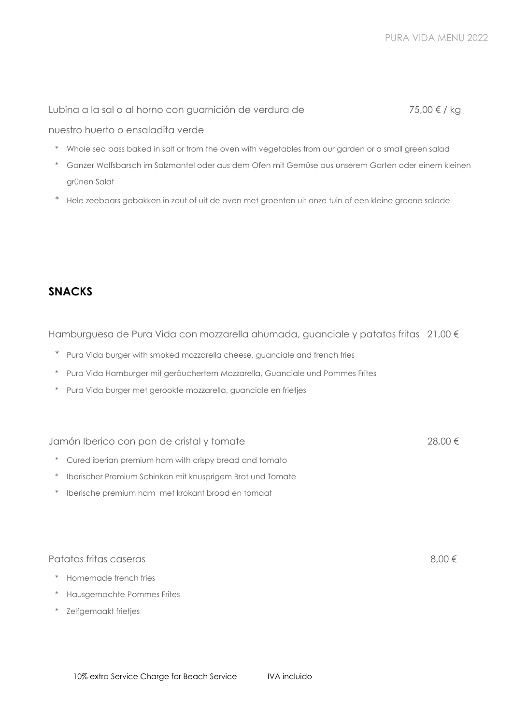#### nuestro huerto o ensaladita verde

- \* Whole sea bass baked in salt or from the oven with vegetables from our garden or a small green salad
- \* Ganzer Wolfsbarsch im Salzmantel oder aus dem Ofen mit Gemüse aus unserem Garten oder einem kleinen grünen Salat
- \* Hele zeebaars gebakken in zout of uit de oven met groenten uit onze tuin of een kleine groene salade

### **SNACKS**

Hamburguesa de Pura Vida con mozzarella ahumada, guanciale y patatas fritas 21,00 €

- \* Pura Vida burger with smoked mozzarella cheese, guanciale and french fries
- \* Pura Vida Hamburger mit geräuchertem Mozzarella, Guanciale und Pommes Frites
- \* Pura Vida burger met gerookte mozzarella, guanciale en frietjes

#### Jamón Iberico con pan de cristal y tomate 28,00 €

- \* Cured iberian premium ham with crispy bread and tomato
- \* Iberischer Premium Schinken mit knusprigem Brot und Tomate
- \* Iberische premium ham met krokant brood en tomaat

#### Patatas fritas caseras  $8.00 \in$

- \* Homemade french fries
- \* Hausgemachte Pommes Frites
- \* Zelfgemaakt frietjes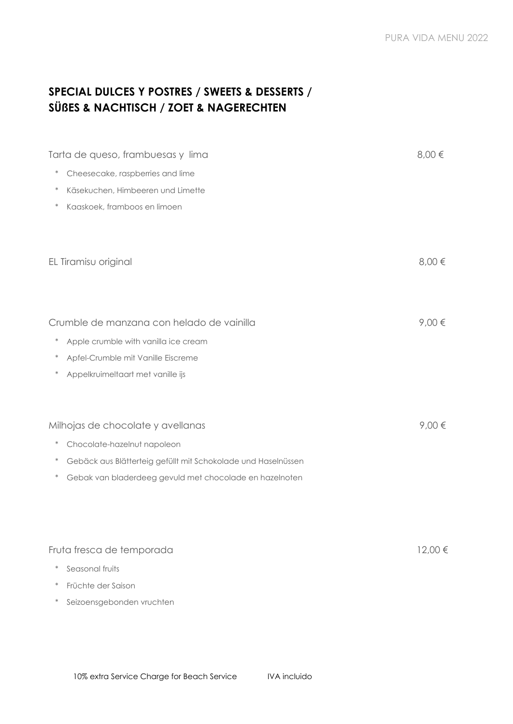## **SPECIAL DULCES Y POSTRES / SWEETS & DESSERTS / SÜßES & NACHTISCH / ZOET & NAGERECHTEN**

| Tarta de queso, frambuesas y lima                                       | $0,00 \in$ |
|-------------------------------------------------------------------------|------------|
| Cheesecake, raspberries and lime<br>$\ast$                              |            |
| Käsekuchen, Himbeeren und Limette<br>$\ast$                             |            |
| Kaaskoek, framboos en limoen<br>$\ast$                                  |            |
|                                                                         |            |
| EL Tiramisu original                                                    | $8,00 \in$ |
|                                                                         |            |
| Crumble de manzana con helado de vainilla                               | $9,00 \in$ |
| Apple crumble with vanilla ice cream<br>$\ast$                          |            |
| Apfel-Crumble mit Vanille Eiscreme                                      |            |
| Appelkruimeltaart met vanille ijs                                       |            |
|                                                                         |            |
| Milhojas de chocolate y avellanas                                       | $9,00 \in$ |
| Chocolate-hazelnut napoleon<br>$\ast$                                   |            |
| Gebäck aus Blätterteig gefüllt mit Schokolade und Haselnüssen<br>$\ast$ |            |
| Gebak van bladerdeeg gevuld met chocolade en hazelnoten<br>$\ast$       |            |
|                                                                         |            |
|                                                                         |            |
| Fruta fresca de temporada                                               | 12,00 €    |
| Seasonal fruits                                                         |            |
| Früchte der Saison                                                      |            |